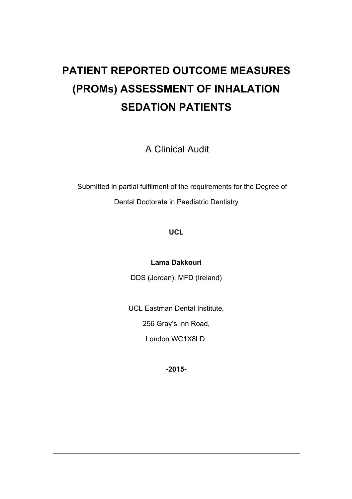# **PATIENT REPORTED OUTCOME MEASURES (PROMs) ASSESSMENT OF INHALATION SEDATION PATIENTS**

A Clinical Audit

 Submitted in partial fulfilment of the requirements for the Degree of Dental Doctorate in Paediatric Dentistry

#### **UCL**

**Lama Dakkouri**

DDS (Jordan), MFD (Ireland)

UCL Eastman Dental Institute,

256 Gray's Inn Road,

London WC1X8LD,

**-2015-**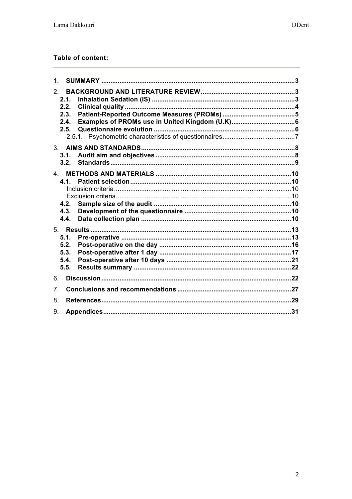#### Table of content:

| 1.             |                                      |  |  |  |
|----------------|--------------------------------------|--|--|--|
| 2 <sup>1</sup> | 2.1.<br>2.2.<br>2.3.<br>2.4.<br>2.5. |  |  |  |
| 3.             | 3.1.<br>3.2.                         |  |  |  |
| $\overline{4}$ | 41<br>4.2.<br>4.3.<br>4.4.           |  |  |  |
|                | 5.1.<br>5.2.<br>5.3.<br>5.4.<br>5.5. |  |  |  |
| 6.             |                                      |  |  |  |
| 7 <sub>1</sub> |                                      |  |  |  |
| 8.             |                                      |  |  |  |
| 9.             |                                      |  |  |  |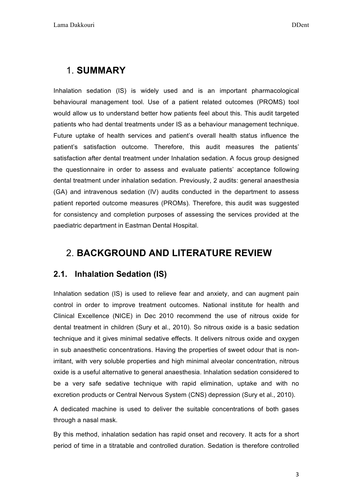### 1. **SUMMARY**

Inhalation sedation (IS) is widely used and is an important pharmacological behavioural management tool. Use of a patient related outcomes (PROMS) tool would allow us to understand better how patients feel about this. This audit targeted patients who had dental treatments under IS as a behaviour management technique. Future uptake of health services and patient's overall health status influence the patient's satisfaction outcome. Therefore, this audit measures the patients' satisfaction after dental treatment under Inhalation sedation. A focus group designed the questionnaire in order to assess and evaluate patients' acceptance following dental treatment under inhalation sedation. Previously, 2 audits: general anaesthesia (GA) and intravenous sedation (IV) audits conducted in the department to assess patient reported outcome measures (PROMs). Therefore, this audit was suggested for consistency and completion purposes of assessing the services provided at the paediatric department in Eastman Dental Hospital.

### 2. **BACKGROUND AND LITERATURE REVIEW**

### **2.1. Inhalation Sedation (IS)**

Inhalation sedation (IS) is used to relieve fear and anxiety, and can augment pain control in order to improve treatment outcomes. National institute for health and Clinical Excellence (NICE) in Dec 2010 recommend the use of nitrous oxide for dental treatment in children (Sury et al., 2010). So nitrous oxide is a basic sedation technique and it gives minimal sedative effects. It delivers nitrous oxide and oxygen in sub anaesthetic concentrations. Having the properties of sweet odour that is nonirritant, with very soluble properties and high minimal alveolar concentration, nitrous oxide is a useful alternative to general anaesthesia. Inhalation sedation considered to be a very safe sedative technique with rapid elimination, uptake and with no excretion products or Central Nervous System (CNS) depression (Sury et al., 2010).

A dedicated machine is used to deliver the suitable concentrations of both gases through a nasal mask.

By this method, inhalation sedation has rapid onset and recovery. It acts for a short period of time in a titratable and controlled duration. Sedation is therefore controlled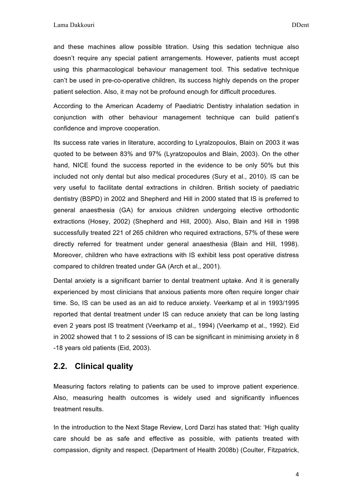and these machines allow possible titration. Using this sedation technique also doesn't require any special patient arrangements. However, patients must accept using this pharmacological behaviour management tool. This sedative technique can't be used in pre-co-operative children, its success highly depends on the proper patient selection. Also, it may not be profound enough for difficult procedures.

According to the American Academy of Paediatric Dentistry inhalation sedation in conjunction with other behaviour management technique can build patient's confidence and improve cooperation.

Its success rate varies in literature, according to Lyralzopoulos, Blain on 2003 it was quoted to be between 83% and 97% (Lyratzopoulos and Blain, 2003). On the other hand, NICE found the success reported in the evidence to be only 50% but this included not only dental but also medical procedures (Sury et al., 2010). IS can be very useful to facilitate dental extractions in children. British society of paediatric dentistry (BSPD) in 2002 and Shepherd and Hill in 2000 stated that IS is preferred to general anaesthesia (GA) for anxious children undergoing elective orthodontic extractions (Hosey, 2002) (Shepherd and Hill, 2000). Also, Blain and Hill in 1998 successfully treated 221 of 265 children who required extractions, 57% of these were directly referred for treatment under general anaesthesia (Blain and Hill, 1998). Moreover, children who have extractions with IS exhibit less post operative distress compared to children treated under GA (Arch et al., 2001).

Dental anxiety is a significant barrier to dental treatment uptake. And it is generally experienced by most clinicians that anxious patients more often require longer chair time. So, IS can be used as an aid to reduce anxiety. Veerkamp et al in 1993/1995 reported that dental treatment under IS can reduce anxiety that can be long lasting even 2 years post IS treatment (Veerkamp et al., 1994) (Veerkamp et al., 1992). Eid in 2002 showed that 1 to 2 sessions of IS can be significant in minimising anxiety in 8 -18 years old patients (Eid, 2003).

#### **2.2. Clinical quality**

Measuring factors relating to patients can be used to improve patient experience. Also, measuring health outcomes is widely used and significantly influences treatment results.

In the introduction to the Next Stage Review, Lord Darzi has stated that: 'High quality care should be as safe and effective as possible, with patients treated with compassion, dignity and respect. (Department of Health 2008b) (Coulter, Fitzpatrick,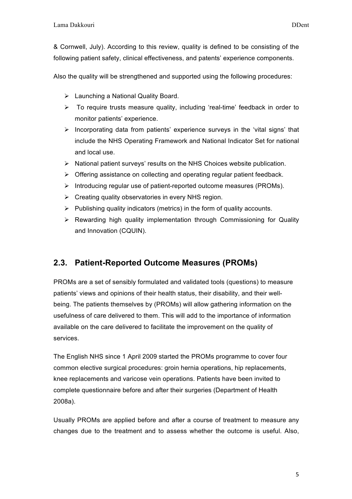& Cornwell, July). According to this review, quality is defined to be consisting of the following patient safety, clinical effectiveness, and patents' experience components.

Also the quality will be strengthened and supported using the following procedures:

- $\triangleright$  Launching a National Quality Board.
- $\triangleright$  To require trusts measure quality, including 'real-time' feedback in order to monitor patients' experience.
- $\triangleright$  Incorporating data from patients' experience surveys in the 'vital signs' that include the NHS Operating Framework and National Indicator Set for national and local use.
- $\triangleright$  National patient surveys' results on the NHS Choices website publication.
- $\triangleright$  Offering assistance on collecting and operating regular patient feedback.
- $\triangleright$  Introducing regular use of patient-reported outcome measures (PROMs).
- $\triangleright$  Creating quality observatories in every NHS region.
- $\triangleright$  Publishing quality indicators (metrics) in the form of quality accounts.
- $\triangleright$  Rewarding high quality implementation through Commissioning for Quality and Innovation (CQUIN).

### **2.3. Patient-Reported Outcome Measures (PROMs)**

PROMs are a set of sensibly formulated and validated tools (questions) to measure patients' views and opinions of their health status, their disability, and their wellbeing. The patients themselves by (PROMs) will allow gathering information on the usefulness of care delivered to them. This will add to the importance of information available on the care delivered to facilitate the improvement on the quality of services.

The English NHS since 1 April 2009 started the PROMs programme to cover four common elective surgical procedures: groin hernia operations, hip replacements, knee replacements and varicose vein operations. Patients have been invited to complete questionnaire before and after their surgeries (Department of Health 2008a).

Usually PROMs are applied before and after a course of treatment to measure any changes due to the treatment and to assess whether the outcome is useful. Also,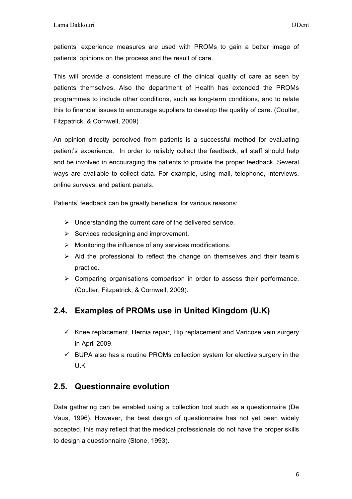patients' experience measures are used with PROMs to gain a better image of patients' opinions on the process and the result of care.

This will provide a consistent measure of the clinical quality of care as seen by patients themselves. Also the department of Health has extended the PROMs programmes to include other conditions, such as long-term conditions, and to relate this to financial issues to encourage suppliers to develop the quality of care. (Coulter, Fitzpatrick, & Cornwell, 2009)

An opinion directly perceived from patients is a successful method for evaluating patient's experience. In order to reliably collect the feedback, all staff should help and be involved in encouraging the patients to provide the proper feedback. Several ways are available to collect data. For example, using mail, telephone, interviews, online surveys, and patient panels.

Patients' feedback can be greatly beneficial for various reasons:

- $\triangleright$  Understanding the current care of the delivered service.
- $\triangleright$  Services redesigning and improvement.
- $\triangleright$  Monitoring the influence of any services modifications.
- $\triangleright$  Aid the professional to reflect the change on themselves and their team's practice.
- $\triangleright$  Comparing organisations comparison in order to assess their performance. (Coulter, Fitzpatrick, & Cornwell, 2009).

#### **2.4. Examples of PROMs use in United Kingdom (U.K)**

- $\checkmark$  Knee replacement, Hernia repair, Hip replacement and Varicose vein surgery in April 2009.
- $\checkmark$  BUPA also has a routine PROMs collection system for elective surgery in the U.K

#### **2.5. Questionnaire evolution**

Data gathering can be enabled using a collection tool such as a questionnaire (De Vaus, 1996). However, the best design of questionnaire has not yet been widely accepted, this may reflect that the medical professionals do not have the proper skills to design a questionnaire (Stone, 1993).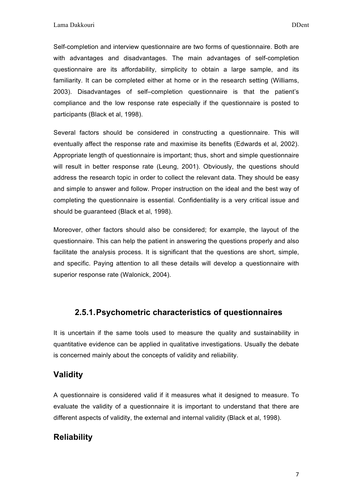Self-completion and interview questionnaire are two forms of questionnaire. Both are with advantages and disadvantages. The main advantages of self-completion questionnaire are its affordability, simplicity to obtain a large sample, and its familiarity. It can be completed either at home or in the research setting (Williams, 2003). Disadvantages of self–completion questionnaire is that the patient's compliance and the low response rate especially if the questionnaire is posted to participants (Black et al, 1998).

Several factors should be considered in constructing a questionnaire. This will eventually affect the response rate and maximise its benefits (Edwards et al, 2002). Appropriate length of questionnaire is important; thus, short and simple questionnaire will result in better response rate (Leung, 2001). Obviously, the questions should address the research topic in order to collect the relevant data. They should be easy and simple to answer and follow. Proper instruction on the ideal and the best way of completing the questionnaire is essential. Confidentiality is a very critical issue and should be guaranteed (Black et al, 1998).

Moreover, other factors should also be considered; for example, the layout of the questionnaire. This can help the patient in answering the questions properly and also facilitate the analysis process. It is significant that the questions are short, simple, and specific. Paying attention to all these details will develop a questionnaire with superior response rate (Walonick, 2004).

#### **2.5.1.Psychometric characteristics of questionnaires**

It is uncertain if the same tools used to measure the quality and sustainability in quantitative evidence can be applied in qualitative investigations. Usually the debate is concerned mainly about the concepts of validity and reliability.

#### **Validity**

A questionnaire is considered valid if it measures what it designed to measure. To evaluate the validity of a questionnaire it is important to understand that there are different aspects of validity, the external and internal validity (Black et al, 1998).

#### **Reliability**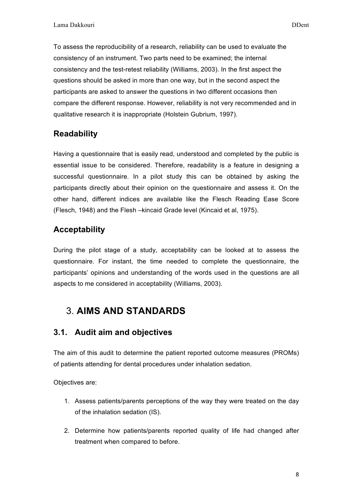To assess the reproducibility of a research, reliability can be used to evaluate the consistency of an instrument. Two parts need to be examined; the internal consistency and the test-retest reliability (Williams, 2003). In the first aspect the questions should be asked in more than one way, but in the second aspect the participants are asked to answer the questions in two different occasions then compare the different response. However, reliability is not very recommended and in qualitative research it is inappropriate (Holstein Gubrium, 1997).

### **Readability**

Having a questionnaire that is easily read, understood and completed by the public is essential issue to be considered. Therefore, readability is a feature in designing a successful questionnaire. In a pilot study this can be obtained by asking the participants directly about their opinion on the questionnaire and assess it. On the other hand, different indices are available like the Flesch Reading Ease Score (Flesch, 1948) and the Flesh –kincaid Grade level (Kincaid et al, 1975).

### **Acceptability**

During the pilot stage of a study, acceptability can be looked at to assess the questionnaire. For instant, the time needed to complete the questionnaire, the participants' opinions and understanding of the words used in the questions are all aspects to me considered in acceptability (Williams, 2003).

# 3. **AIMS AND STANDARDS**

### **3.1. Audit aim and objectives**

The aim of this audit to determine the patient reported outcome measures (PROMs) of patients attending for dental procedures under inhalation sedation.

Objectives are:

- 1. Assess patients/parents perceptions of the way they were treated on the day of the inhalation sedation (IS).
- 2. Determine how patients/parents reported quality of life had changed after treatment when compared to before.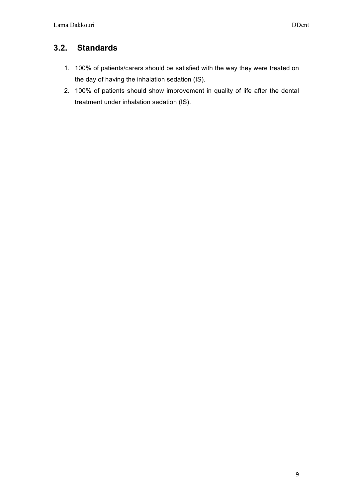### **3.2. Standards**

- 1. 100% of patients/carers should be satisfied with the way they were treated on the day of having the inhalation sedation (IS).
- 2. 100% of patients should show improvement in quality of life after the dental treatment under inhalation sedation (IS).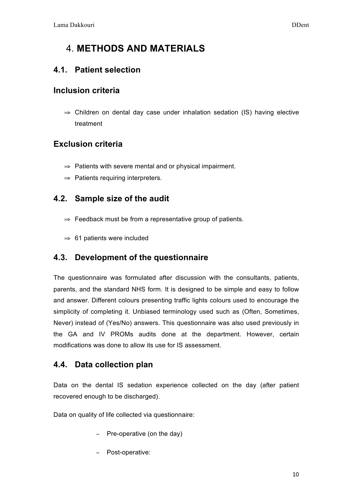# 4. **METHODS AND MATERIALS**

#### **4.1. Patient selection**

#### **Inclusion criteria**

⇒ Children on dental day case under inhalation sedation (IS) having elective treatment

#### **Exclusion criteria**

- ⇒ Patients with severe mental and or physical impairment.
- ⇒ Patients requiring interpreters.

#### **4.2. Sample size of the audit**

- $\Rightarrow$  Feedback must be from a representative group of patients.
- ⇒ 61 patients were included

#### **4.3. Development of the questionnaire**

The questionnaire was formulated after discussion with the consultants, patients, parents, and the standard NHS form. It is designed to be simple and easy to follow and answer. Different colours presenting traffic lights colours used to encourage the simplicity of completing it. Unbiased terminology used such as (Often, Sometimes, Never) instead of (Yes/No) answers. This questionnaire was also used previously in the GA and IV PROMs audits done at the department. However, certain modifications was done to allow its use for IS assessment.

#### **4.4. Data collection plan**

Data on the dental IS sedation experience collected on the day (after patient recovered enough to be discharged).

Data on quality of life collected via questionnaire:

- − Pre-operative (on the day)
- − Post-operative: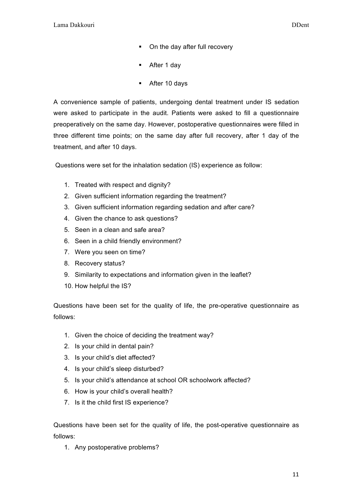- On the day after full recovery
- After 1 day
- § After 10 days

A convenience sample of patients, undergoing dental treatment under IS sedation were asked to participate in the audit. Patients were asked to fill a questionnaire preoperatively on the same day. However, postoperative questionnaires were filled in three different time points; on the same day after full recovery, after 1 day of the treatment, and after 10 days.

Questions were set for the inhalation sedation (IS) experience as follow:

- 1. Treated with respect and dignity?
- 2. Given sufficient information regarding the treatment?
- 3. Given sufficient information regarding sedation and after care?
- 4. Given the chance to ask questions?
- 5. Seen in a clean and safe area?
- 6. Seen in a child friendly environment?
- 7. Were you seen on time?
- 8. Recovery status?
- 9. Similarity to expectations and information given in the leaflet?
- 10. How helpful the IS?

Questions have been set for the quality of life, the pre-operative questionnaire as follows:

- 1. Given the choice of deciding the treatment way?
- 2. Is your child in dental pain?
- 3. Is your child's diet affected?
- 4. Is your child's sleep disturbed?
- 5. Is your child's attendance at school OR schoolwork affected?
- 6. How is your child's overall health?
- 7. Is it the child first IS experience?

Questions have been set for the quality of life, the post-operative questionnaire as follows:

1. Any postoperative problems?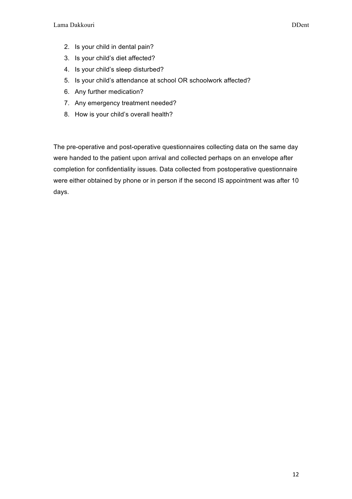- 2. Is your child in dental pain?
- 3. Is your child's diet affected?
- 4. Is your child's sleep disturbed?
- 5. Is your child's attendance at school OR schoolwork affected?
- 6. Any further medication?
- 7. Any emergency treatment needed?
- 8. How is your child's overall health?

The pre-operative and post-operative questionnaires collecting data on the same day were handed to the patient upon arrival and collected perhaps on an envelope after completion for confidentiality issues. Data collected from postoperative questionnaire were either obtained by phone or in person if the second IS appointment was after 10 days.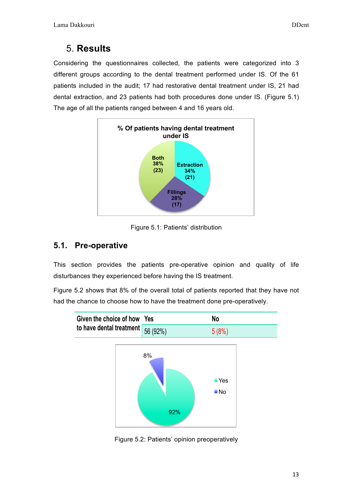# 5. **Results**

Considering the questionnaires collected, the patients were categorized into 3 different groups according to the dental treatment performed under IS. Of the 61 patients included in the audit; 17 had restorative dental treatment under IS, 21 had dental extraction, and 23 patients had both procedures done under IS. (Figure 5.1) The age of all the patients ranged between 4 and 16 years old.



Figure 5.1: Patients' distribution

### **5.1. Pre-operative**

This section provides the patients pre-operative opinion and quality of life disturbances they experienced before having the IS treatment.

Figure 5.2 shows that 8% of the overall total of patients reported that they have not had the chance to choose how to have the treatment done pre-operatively.



Figure 5.2: Patients' opinion preoperatively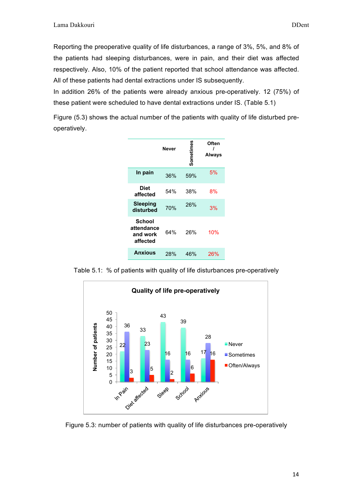Reporting the preoperative quality of life disturbances, a range of 3%, 5%, and 8% of the patients had sleeping disturbances, were in pain, and their diet was affected respectively. Also, 10% of the patient reported that school attendance was affected. All of these patients had dental extractions under IS subsequently.

In addition 26% of the patients were already anxious pre-operatively. 12 (75%) of these patient were scheduled to have dental extractions under IS. (Table 5.1)

Figure (5.3) shows the actual number of the patients with quality of life disturbed preoperatively.

| Never                                               |     | Sometimes | Often<br><b>Always</b> |  |
|-----------------------------------------------------|-----|-----------|------------------------|--|
| In pain                                             | 36% | 59%       | 5%                     |  |
| Diet<br>affected                                    | 54% | 38%       | 8%                     |  |
| Sleeping<br>disturbed                               | 70% | 26%       | 3%                     |  |
| <b>School</b><br>attendance<br>and work<br>affected | 64% | 26%       | 10%                    |  |
| <b>Anxious</b>                                      | 28% | 46%       | 26%                    |  |

Table 5.1: % of patients with quality of life disturbances pre-operatively



Figure 5.3: number of patients with quality of life disturbances pre-operatively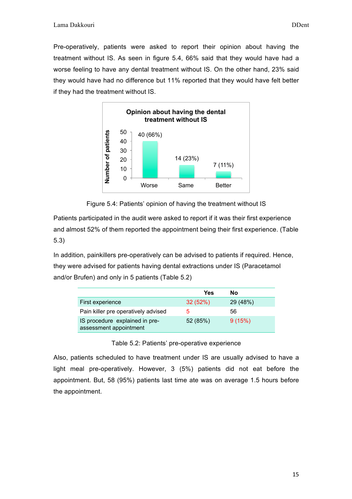Pre-operatively, patients were asked to report their opinion about having the treatment without IS. As seen in figure 5.4, 66% said that they would have had a worse feeling to have any dental treatment without IS. On the other hand, 23% said they would have had no difference but 11% reported that they would have felt better if they had the treatment without IS.



Figure 5.4: Patients' opinion of having the treatment without IS

Patients participated in the audit were asked to report if it was their first experience and almost 52% of them reported the appointment being their first experience. (Table 5.3)

In addition, painkillers pre-operatively can be advised to patients if required. Hence, they were advised for patients having dental extractions under IS (Paracetamol and/or Brufen) and only in 5 patients (Table 5.2)

|                                                          | Yes      | Nο       |
|----------------------------------------------------------|----------|----------|
| First experience                                         | 32(52%)  | 29 (48%) |
| Pain killer pre operatively advised                      | 5        | 56       |
| IS procedure explained in pre-<br>assessment appointment | 52 (85%) | 9(15%)   |

Table 5.2: Patients' pre-operative experience

Also, patients scheduled to have treatment under IS are usually advised to have a light meal pre-operatively. However, 3 (5%) patients did not eat before the appointment. But, 58 (95%) patients last time ate was on average 1.5 hours before the appointment.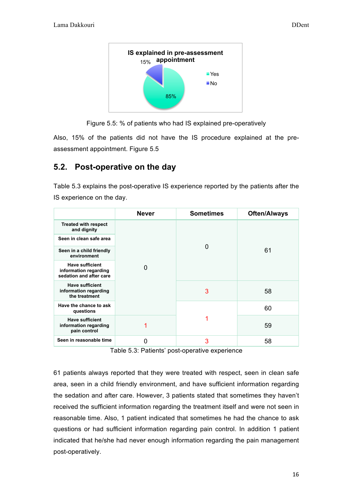

Figure 5.5: % of patients who had IS explained pre-operatively

Also, 15% of the patients did not have the IS procedure explained at the preassessment appointment. Figure 5.5

#### **5.2. Post-operative on the day**

Table 5.3 explains the post-operative IS experience reported by the patients after the IS experience on the day.

|                                                                            | <b>Never</b> | <b>Sometimes</b> | <b>Often/Always</b> |  |
|----------------------------------------------------------------------------|--------------|------------------|---------------------|--|
| <b>Treated with respect</b><br>and dignity                                 |              |                  |                     |  |
| Seen in clean safe area                                                    |              |                  | 61                  |  |
| Seen in a child friendly<br>environment                                    |              | O                |                     |  |
| <b>Have sufficient</b><br>information regarding<br>sedation and after care | 0            |                  |                     |  |
| <b>Have sufficient</b><br>information regarding<br>the treatment           |              | 3                | 58                  |  |
| Have the chance to ask<br>questions                                        |              |                  | 60                  |  |
| <b>Have sufficient</b><br>information regarding<br>pain control            |              |                  | 59                  |  |
| Seen in reasonable time                                                    | 0            |                  | 58                  |  |

Table 5.3: Patients' post-operative experience

61 patients always reported that they were treated with respect, seen in clean safe area, seen in a child friendly environment, and have sufficient information regarding the sedation and after care. However, 3 patients stated that sometimes they haven't received the sufficient information regarding the treatment itself and were not seen in reasonable time. Also, 1 patient indicated that sometimes he had the chance to ask questions or had sufficient information regarding pain control. In addition 1 patient indicated that he/she had never enough information regarding the pain management post-operatively.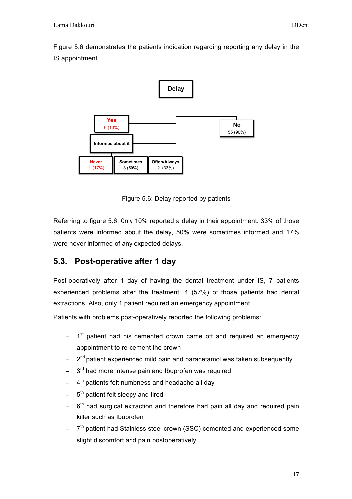Figure 5.6 demonstrates the patients indication regarding reporting any delay in the IS appointment.



Figure 5.6: Delay reported by patients

Referring to figure 5.6, 0nly 10% reported a delay in their appointment. 33% of those patients were informed about the delay, 50% were sometimes informed and 17% were never informed of any expected delays.

### **5.3. Post-operative after 1 day**

Post-operatively after 1 day of having the dental treatment under IS, 7 patients experienced problems after the treatment. 4 (57%) of those patients had dental extractions. Also, only 1 patient required an emergency appointment.

Patients with problems post-operatively reported the following problems:

- − 1<sup>st</sup> patient had his cemented crown came off and required an emergency appointment to re-cement the crown
- − 2<sup>nd</sup> patient experienced mild pain and paracetamol was taken subsequently
- 3<sup>rd</sup> had more intense pain and Ibuprofen was required
- − 4<sup>th</sup> patients felt numbness and headache all day
- − 5<sup>th</sup> patient felt sleepy and tired
- − 6<sup>th</sup> had surgical extraction and therefore had pain all day and required pain killer such as Ibuprofen
- − 7<sup>th</sup> patient had Stainless steel crown (SSC) cemented and experienced some slight discomfort and pain postoperatively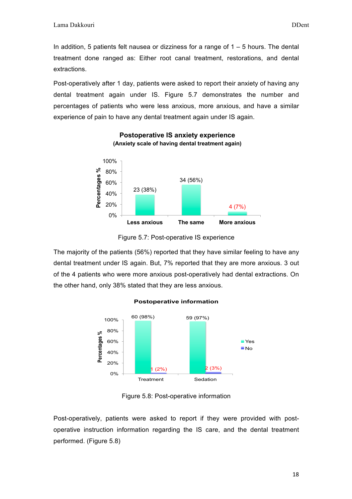In addition, 5 patients felt nausea or dizziness for a range of  $1 - 5$  hours. The dental treatment done ranged as: Either root canal treatment, restorations, and dental extractions.

Post-operatively after 1 day, patients were asked to report their anxiety of having any dental treatment again under IS. Figure 5.7 demonstrates the number and percentages of patients who were less anxious, more anxious, and have a similar experience of pain to have any dental treatment again under IS again.



#### **Postoperative IS anxiety experience (Anxiety scale of having dental treatment again)**

The majority of the patients (56%) reported that they have similar feeling to have any dental treatment under IS again. But, 7% reported that they are more anxious. 3 out of the 4 patients who were more anxious post-operatively had dental extractions. On the other hand, only 38% stated that they are less anxious.



#### **Postoperative information**

Figure 5.8: Post-operative information

Post-operatively, patients were asked to report if they were provided with postoperative instruction information regarding the IS care, and the dental treatment performed. (Figure 5.8)

Figure 5.7: Post-operative IS experience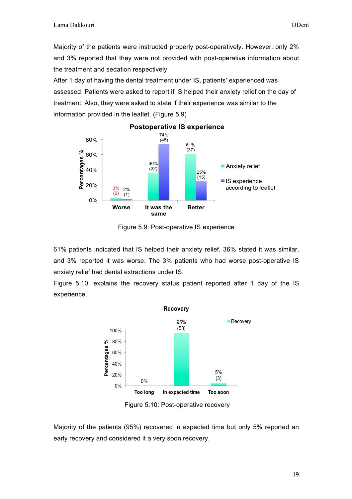Majority of the patients were instructed properly post-operatively. However, only 2% and 3% reported that they were not provided with post-operative information about the treatment and sedation respectively.

After 1 day of having the dental treatment under IS, patients' experienced was assessed. Patients were asked to report if IS helped their anxiety relief on the day of treatment. Also, they were asked to state if their experience was similar to the information provided in the leaflet. (Figure 5.9)



#### **Postoperative IS experience**

Figure 5.9: Post-operative IS experience

61% patients indicated that IS helped their anxiety relief, 36% stated it was similar, and 3% reported it was worse. The 3% patients who had worse post-operative IS anxiety relief had dental extractions under IS.

Figure 5.10, explains the recovery status patient reported after 1 day of the IS experience.



Figure 5.10: Post-operative recovery

Majority of the patients (95%) recovered in expected time but only 5% reported an early recovery and considered it a very soon recovery.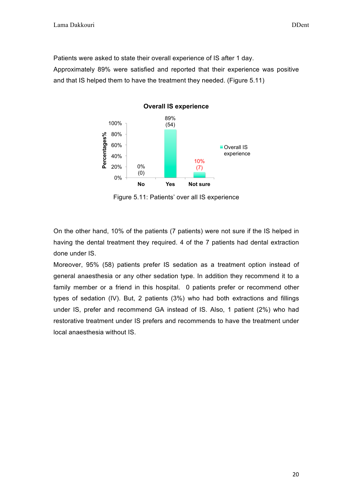Patients were asked to state their overall experience of IS after 1 day. Approximately 89% were satisfied and reported that their experience was positive and that IS helped them to have the treatment they needed. (Figure 5.11)



Figure 5.11: Patients' over all IS experience

On the other hand, 10% of the patients (7 patients) were not sure if the IS helped in having the dental treatment they required. 4 of the 7 patients had dental extraction done under IS.

Moreover, 95% (58) patients prefer IS sedation as a treatment option instead of general anaesthesia or any other sedation type. In addition they recommend it to a family member or a friend in this hospital. 0 patients prefer or recommend other types of sedation (IV). But, 2 patients (3%) who had both extractions and fillings under IS, prefer and recommend GA instead of IS. Also, 1 patient (2%) who had restorative treatment under IS prefers and recommends to have the treatment under local anaesthesia without IS.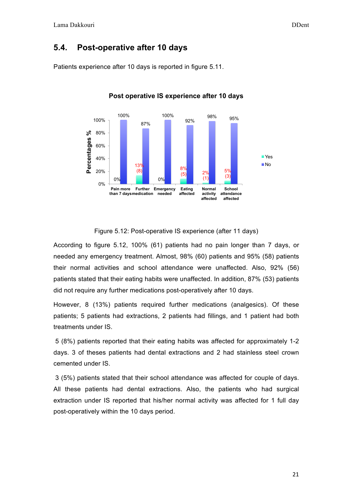#### **5.4. Post-operative after 10 days**

Patients experience after 10 days is reported in figure 5.11.



**Post operative IS experience after 10 days** 

Figure 5.12: Post-operative IS experience (after 11 days)

According to figure 5.12, 100% (61) patients had no pain longer than 7 days, or needed any emergency treatment. Almost, 98% (60) patients and 95% (58) patients their normal activities and school attendance were unaffected. Also, 92% (56) patients stated that their eating habits were unaffected. In addition, 87% (53) patients did not require any further medications post-operatively after 10 days.

However, 8 (13%) patients required further medications (analgesics). Of these patients; 5 patients had extractions, 2 patients had fillings, and 1 patient had both treatments under IS.

5 (8%) patients reported that their eating habits was affected for approximately 1-2 days. 3 of theses patients had dental extractions and 2 had stainless steel crown cemented under IS.

3 (5%) patients stated that their school attendance was affected for couple of days. All these patients had dental extractions. Also, the patients who had surgical extraction under IS reported that his/her normal activity was affected for 1 full day post-operatively within the 10 days period.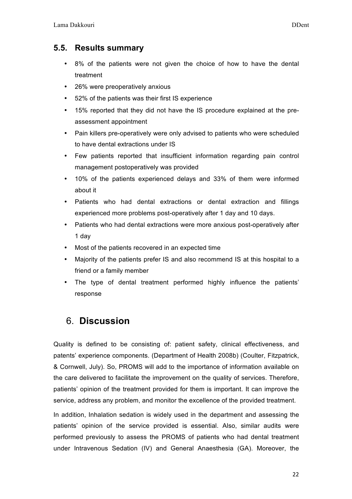#### **5.5. Results summary**

- 8% of the patients were not given the choice of how to have the dental treatment
- 26% were preoperatively anxious
- 52% of the patients was their first IS experience
- 15% reported that they did not have the IS procedure explained at the preassessment appointment
- Pain killers pre-operatively were only advised to patients who were scheduled to have dental extractions under IS
- Few patients reported that insufficient information regarding pain control management postoperatively was provided
- 10% of the patients experienced delays and 33% of them were informed about it
- Patients who had dental extractions or dental extraction and fillings experienced more problems post-operatively after 1 day and 10 days.
- Patients who had dental extractions were more anxious post-operatively after 1 day
- Most of the patients recovered in an expected time
- Majority of the patients prefer IS and also recommend IS at this hospital to a friend or a family member
- The type of dental treatment performed highly influence the patients' response

# 6. **Discussion**

Quality is defined to be consisting of: patient safety, clinical effectiveness, and patents' experience components. (Department of Health 2008b) (Coulter, Fitzpatrick, & Cornwell, July). So, PROMS will add to the importance of information available on the care delivered to facilitate the improvement on the quality of services. Therefore, patients' opinion of the treatment provided for them is important. It can improve the service, address any problem, and monitor the excellence of the provided treatment.

In addition, Inhalation sedation is widely used in the department and assessing the patients' opinion of the service provided is essential. Also, similar audits were performed previously to assess the PROMS of patients who had dental treatment under Intravenous Sedation (IV) and General Anaesthesia (GA). Moreover, the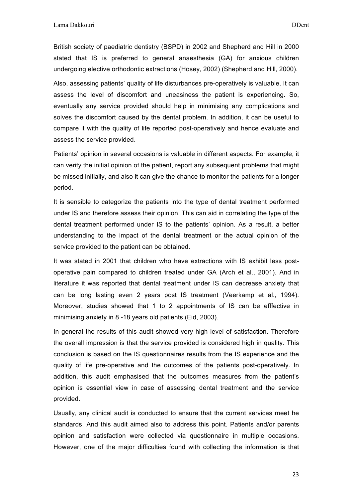British society of paediatric dentistry (BSPD) in 2002 and Shepherd and Hill in 2000 stated that IS is preferred to general anaesthesia (GA) for anxious children undergoing elective orthodontic extractions (Hosey, 2002) (Shepherd and Hill, 2000).

Also, assessing patients' quality of life disturbances pre-operatively is valuable. It can assess the level of discomfort and uneasiness the patient is experiencing. So, eventually any service provided should help in minimising any complications and solves the discomfort caused by the dental problem. In addition, it can be useful to compare it with the quality of life reported post-operatively and hence evaluate and assess the service provided.

Patients' opinion in several occasions is valuable in different aspects. For example, it can verify the initial opinion of the patient, report any subsequent problems that might be missed initially, and also it can give the chance to monitor the patients for a longer period.

It is sensible to categorize the patients into the type of dental treatment performed under IS and therefore assess their opinion. This can aid in correlating the type of the dental treatment performed under IS to the patients' opinion. As a result, a better understanding to the impact of the dental treatment or the actual opinion of the service provided to the patient can be obtained.

It was stated in 2001 that children who have extractions with IS exhibit less postoperative pain compared to children treated under GA (Arch et al., 2001). And in literature it was reported that dental treatment under IS can decrease anxiety that can be long lasting even 2 years post IS treatment (Veerkamp et al., 1994). Moreover, studies showed that 1 to 2 appointments of IS can be efffective in minimising anxiety in 8 -18 years old patients (Eid, 2003).

In general the results of this audit showed very high level of satisfaction. Therefore the overall impression is that the service provided is considered high in quality. This conclusion is based on the IS questionnaires results from the IS experience and the quality of life pre-operative and the outcomes of the patients post-operatively. In addition, this audit emphasised that the outcomes measures from the patient's opinion is essential view in case of assessing dental treatment and the service provided.

Usually, any clinical audit is conducted to ensure that the current services meet he standards. And this audit aimed also to address this point. Patients and/or parents opinion and satisfaction were collected via questionnaire in multiple occasions. However, one of the major difficulties found with collecting the information is that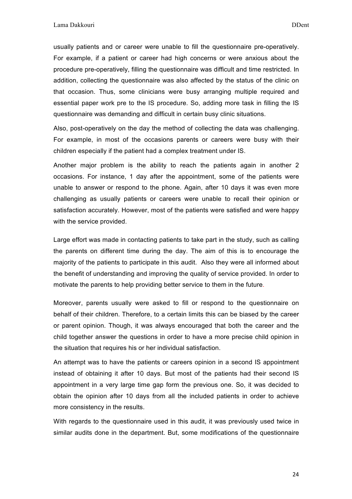usually patients and or career were unable to fill the questionnaire pre-operatively. For example, if a patient or career had high concerns or were anxious about the procedure pre-operatively, filling the questionnaire was difficult and time restricted. In addition, collecting the questionnaire was also affected by the status of the clinic on that occasion. Thus, some clinicians were busy arranging multiple required and essential paper work pre to the IS procedure. So, adding more task in filling the IS questionnaire was demanding and difficult in certain busy clinic situations.

Also, post-operatively on the day the method of collecting the data was challenging. For example, in most of the occasions parents or careers were busy with their children especially if the patient had a complex treatment under IS.

Another major problem is the ability to reach the patients again in another 2 occasions. For instance, 1 day after the appointment, some of the patients were unable to answer or respond to the phone. Again, after 10 days it was even more challenging as usually patients or careers were unable to recall their opinion or satisfaction accurately. However, most of the patients were satisfied and were happy with the service provided.

Large effort was made in contacting patients to take part in the study, such as calling the parents on different time during the day. The aim of this is to encourage the majority of the patients to participate in this audit. Also they were all informed about the benefit of understanding and improving the quality of service provided. In order to motivate the parents to help providing better service to them in the future.

Moreover, parents usually were asked to fill or respond to the questionnaire on behalf of their children. Therefore, to a certain limits this can be biased by the career or parent opinion. Though, it was always encouraged that both the career and the child together answer the questions in order to have a more precise child opinion in the situation that requires his or her individual satisfaction.

An attempt was to have the patients or careers opinion in a second IS appointment instead of obtaining it after 10 days. But most of the patients had their second IS appointment in a very large time gap form the previous one. So, it was decided to obtain the opinion after 10 days from all the included patients in order to achieve more consistency in the results.

With regards to the questionnaire used in this audit, it was previously used twice in similar audits done in the department. But, some modifications of the questionnaire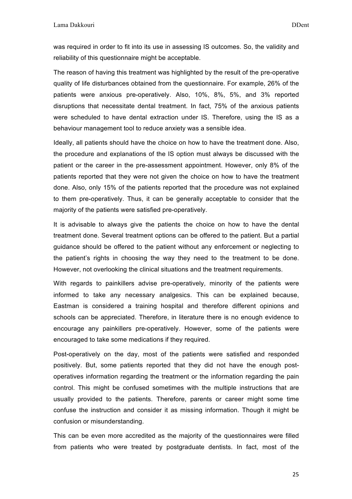was required in order to fit into its use in assessing IS outcomes. So, the validity and reliability of this questionnaire might be acceptable.

The reason of having this treatment was highlighted by the result of the pre-operative quality of life disturbances obtained from the questionnaire. For example, 26% of the patients were anxious pre-operatively. Also, 10%, 8%, 5%, and 3% reported disruptions that necessitate dental treatment. In fact, 75% of the anxious patients were scheduled to have dental extraction under IS. Therefore, using the IS as a behaviour management tool to reduce anxiety was a sensible idea.

Ideally, all patients should have the choice on how to have the treatment done. Also, the procedure and explanations of the IS option must always be discussed with the patient or the career in the pre-assessment appointment. However, only 8% of the patients reported that they were not given the choice on how to have the treatment done. Also, only 15% of the patients reported that the procedure was not explained to them pre-operatively. Thus, it can be generally acceptable to consider that the majority of the patients were satisfied pre-operatively.

It is advisable to always give the patients the choice on how to have the dental treatment done. Several treatment options can be offered to the patient. But a partial guidance should be offered to the patient without any enforcement or neglecting to the patient's rights in choosing the way they need to the treatment to be done. However, not overlooking the clinical situations and the treatment requirements.

With regards to painkillers advise pre-operatively, minority of the patients were informed to take any necessary analgesics. This can be explained because, Eastman is considered a training hospital and therefore different opinions and schools can be appreciated. Therefore, in literature there is no enough evidence to encourage any painkillers pre-operatively. However, some of the patients were encouraged to take some medications if they required.

Post-operatively on the day, most of the patients were satisfied and responded positively. But, some patients reported that they did not have the enough postoperatives information regarding the treatment or the information regarding the pain control. This might be confused sometimes with the multiple instructions that are usually provided to the patients. Therefore, parents or career might some time confuse the instruction and consider it as missing information. Though it might be confusion or misunderstanding.

This can be even more accredited as the majority of the questionnaires were filled from patients who were treated by postgraduate dentists. In fact, most of the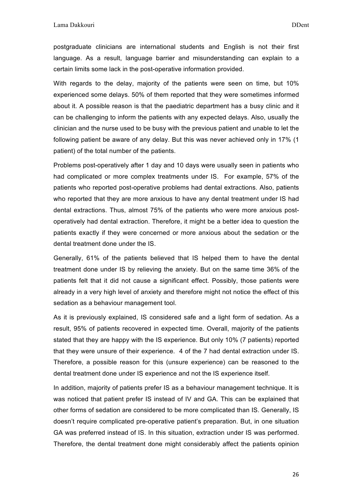postgraduate clinicians are international students and English is not their first language. As a result, language barrier and misunderstanding can explain to a certain limits some lack in the post-operative information provided.

With regards to the delay, majority of the patients were seen on time, but 10% experienced some delays. 50% of them reported that they were sometimes informed about it. A possible reason is that the paediatric department has a busy clinic and it can be challenging to inform the patients with any expected delays. Also, usually the clinician and the nurse used to be busy with the previous patient and unable to let the following patient be aware of any delay. But this was never achieved only in 17% (1 patient) of the total number of the patients.

Problems post-operatively after 1 day and 10 days were usually seen in patients who had complicated or more complex treatments under IS. For example, 57% of the patients who reported post-operative problems had dental extractions. Also, patients who reported that they are more anxious to have any dental treatment under IS had dental extractions. Thus, almost 75% of the patients who were more anxious postoperatively had dental extraction. Therefore, it might be a better idea to question the patients exactly if they were concerned or more anxious about the sedation or the dental treatment done under the IS.

Generally, 61% of the patients believed that IS helped them to have the dental treatment done under IS by relieving the anxiety. But on the same time 36% of the patients felt that it did not cause a significant effect. Possibly, those patients were already in a very high level of anxiety and therefore might not notice the effect of this sedation as a behaviour management tool.

As it is previously explained, IS considered safe and a light form of sedation. As a result, 95% of patients recovered in expected time. Overall, majority of the patients stated that they are happy with the IS experience. But only 10% (7 patients) reported that they were unsure of their experience. 4 of the 7 had dental extraction under IS. Therefore, a possible reason for this (unsure experience) can be reasoned to the dental treatment done under IS experience and not the IS experience itself.

In addition, majority of patients prefer IS as a behaviour management technique. It is was noticed that patient prefer IS instead of IV and GA. This can be explained that other forms of sedation are considered to be more complicated than IS. Generally, IS doesn't require complicated pre-operative patient's preparation. But, in one situation GA was preferred instead of IS. In this situation, extraction under IS was performed. Therefore, the dental treatment done might considerably affect the patients opinion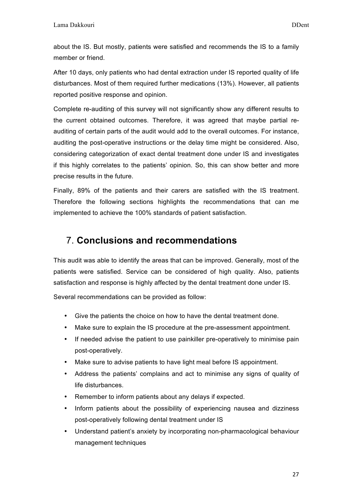about the IS. But mostly, patients were satisfied and recommends the IS to a family member or friend.

After 10 days, only patients who had dental extraction under IS reported quality of life disturbances. Most of them required further medications (13%). However, all patients reported positive response and opinion.

Complete re-auditing of this survey will not significantly show any different results to the current obtained outcomes. Therefore, it was agreed that maybe partial reauditing of certain parts of the audit would add to the overall outcomes. For instance, auditing the post-operative instructions or the delay time might be considered. Also, considering categorization of exact dental treatment done under IS and investigates if this highly correlates to the patients' opinion. So, this can show better and more precise results in the future.

Finally, 89% of the patients and their carers are satisfied with the IS treatment. Therefore the following sections highlights the recommendations that can me implemented to achieve the 100% standards of patient satisfaction.

### 7. **Conclusions and recommendations**

This audit was able to identify the areas that can be improved. Generally, most of the patients were satisfied. Service can be considered of high quality. Also, patients satisfaction and response is highly affected by the dental treatment done under IS.

Several recommendations can be provided as follow:

- Give the patients the choice on how to have the dental treatment done.
- Make sure to explain the IS procedure at the pre-assessment appointment.
- If needed advise the patient to use painkiller pre-operatively to minimise pain post-operatively.
- Make sure to advise patients to have light meal before IS appointment.
- Address the patients' complains and act to minimise any signs of quality of life disturbances.
- Remember to inform patients about any delays if expected.
- Inform patients about the possibility of experiencing nausea and dizziness post-operatively following dental treatment under IS
- Understand patient's anxiety by incorporating non-pharmacological behaviour management techniques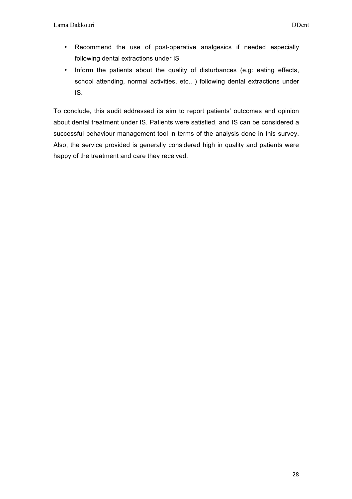- Recommend the use of post-operative analgesics if needed especially following dental extractions under IS
- Inform the patients about the quality of disturbances (e.g: eating effects, school attending, normal activities, etc.. ) following dental extractions under IS.

To conclude, this audit addressed its aim to report patients' outcomes and opinion about dental treatment under IS. Patients were satisfied, and IS can be considered a successful behaviour management tool in terms of the analysis done in this survey. Also, the service provided is generally considered high in quality and patients were happy of the treatment and care they received.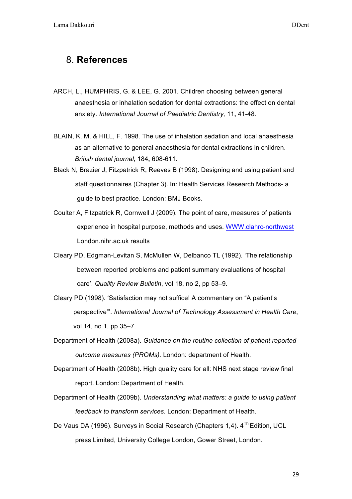#### 8. **References**

- ARCH, L., HUMPHRIS, G. & LEE, G. 2001. Children choosing between general anaesthesia or inhalation sedation for dental extractions: the effect on dental anxiety. *International Journal of Paediatric Dentistry,* 11**,** 41-48.
- BLAIN, K. M. & HILL, F. 1998. The use of inhalation sedation and local anaesthesia as an alternative to general anaesthesia for dental extractions in children. *British dental journal,* 184**,** 608-611.
- Black N, Brazier J, Fitzpatrick R, Reeves B (1998). Designing and using patient and staff questionnaires (Chapter 3). In: Health Services Research Methods- a guide to best practice. London: BMJ Books.
- Coulter A, Fitzpatrick R, Cornwell J (2009). The point of care, measures of patients experience in hospital purpose, methods and uses. WWW.clahrc-northwest London.nihr.ac.uk results
- Cleary PD, Edgman-Levitan S, McMullen W, Delbanco TL (1992). 'The relationship between reported problems and patient summary evaluations of hospital care'. *Quality Review Bulletin*, vol 18, no 2, pp 53–9.
- Cleary PD (1998). 'Satisfaction may not suffice! A commentary on "A patient's perspective"'. *International Journal of Technology Assessment in Health Care*, vol 14, no 1, pp 35–7.
- Department of Health (2008a). *Guidance on the routine collection of patient reported outcome measures (PROMs).* London: department of Health.
- Department of Health (2008b). High quality care for all: NHS next stage review final report. London: Department of Health.
- Department of Health (2009b). *Understanding what matters: a guide to using patient feedback to transform services*. London: Department of Health.
- De Vaus DA (1996). Surveys in Social Research (Chapters 1.4). 4<sup>Th</sup> Edition. UCL press Limited, University College London, Gower Street, London.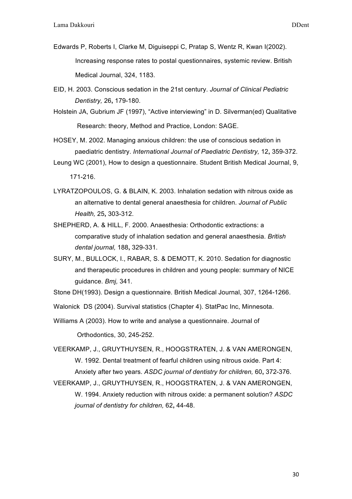- Edwards P, Roberts I, Clarke M, Diguiseppi C, Pratap S, Wentz R, Kwan I(2002). Increasing response rates to postal questionnaires, systemic review. British Medical Journal, 324, 1183.
- EID, H. 2003. Conscious sedation in the 21st century. *Journal of Clinical Pediatric Dentistry,* 26**,** 179-180.
- Holstein JA, Gubrium JF (1997), "Active interviewing" in D. Silverman(ed) Qualitative Research: theory, Method and Practice, London: SAGE.
- HOSEY, M. 2002. Managing anxious children: the use of conscious sedation in paediatric dentistry. *International Journal of Paediatric Dentistry,* 12**,** 359-372.

Leung WC (2001), How to design a questionnaire. Student British Medical Journal, 9, 171-216.

- LYRATZOPOULOS, G. & BLAIN, K. 2003. Inhalation sedation with nitrous oxide as an alternative to dental general anaesthesia for children. *Journal of Public Health,* 25**,** 303-312.
- SHEPHERD, A. & HILL, F. 2000. Anaesthesia: Orthodontic extractions: a comparative study of inhalation sedation and general anaesthesia. *British dental journal,* 188**,** 329-331.
- SURY, M., BULLOCK, I., RABAR, S. & DEMOTT, K. 2010. Sedation for diagnostic and therapeutic procedures in children and young people: summary of NICE guidance. *Bmj,* 341.

Stone DH(1993). Design a questionnaire. British Medical Journal, 307, 1264-1266.

Walonick DS (2004). Survival statistics (Chapter 4). StatPac Inc, Minnesota.

Williams A (2003). How to write and analyse a questionnaire. Journal of

Orthodontics, 30, 245-252.

VEERKAMP, J., GRUYTHUYSEN, R., HOOGSTRATEN, J. & VAN AMERONGEN, W. 1992. Dental treatment of fearful children using nitrous oxide. Part 4: Anxiety after two years. *ASDC journal of dentistry for children,* 60**,** 372-376.

VEERKAMP, J., GRUYTHUYSEN, R., HOOGSTRATEN, J. & VAN AMERONGEN, W. 1994. Anxiety reduction with nitrous oxide: a permanent solution? *ASDC journal of dentistry for children,* 62**,** 44-48.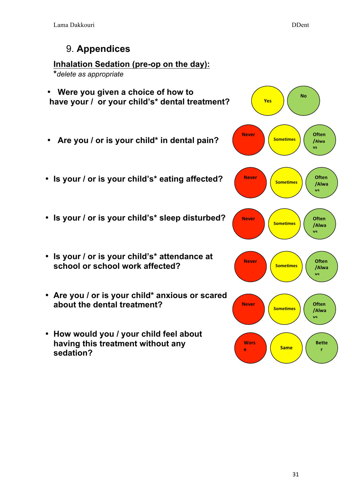# 9. **Appendices**

### **Inhalation Sedation (pre-op on the day):**

**\****delete as appropriate*

- **Were you given a choice of how to have your / or your child's\* dental treatment?**
- **Are you / or is your child\* in dental pain?**
- **Is your / or is your child's\* eating affected?**
- **Is your / or is your child's\* sleep disturbed?**
- **Is your / or is your child's\* attendance at school or school work affected?**
- **Are you / or is your child\* anxious or scared about the dental treatment?**
- **How would you / your child feel about having this treatment without any sedation?**

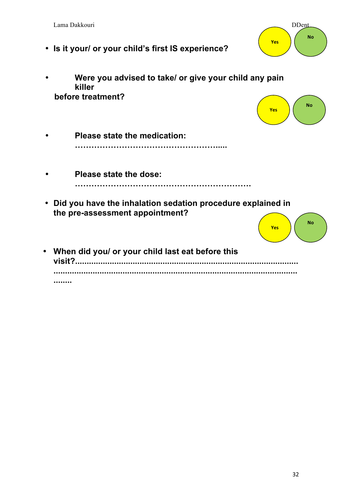|           | Lama Dakkouri<br>• Is it your/ or your child's first IS experience?                            | <b>DDent</b><br><b>No</b><br>Yes |
|-----------|------------------------------------------------------------------------------------------------|----------------------------------|
|           | Were you advised to take/ or give your child any pain<br>killer<br>before treatment?           | <b>No</b><br><b>Yes</b>          |
|           | <b>Please state the medication:</b>                                                            |                                  |
|           | Please state the dose:                                                                         |                                  |
|           | Did you have the inhalation sedation procedure explained in<br>the pre-assessment appointment? | <b>No</b><br><b>Yes</b>          |
| $\bullet$ | When did you/ or your child last eat before this<br>visit?.                                    |                                  |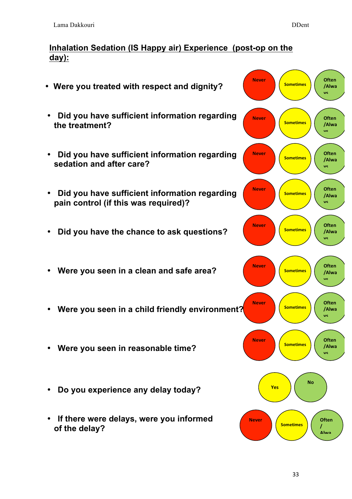#### **Inhalation Sedation (IS Happy air) Experience (post-op on the day):**

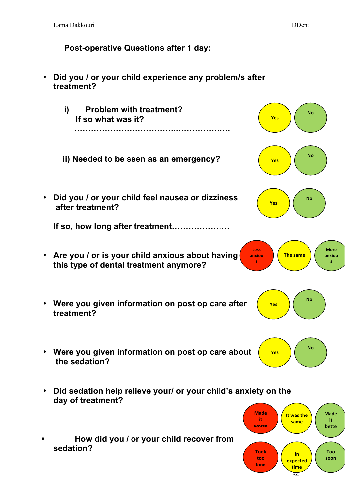### **Post-operative Questions after 1 day:**



• **How did you / or your child recover from sedation?** 



**s**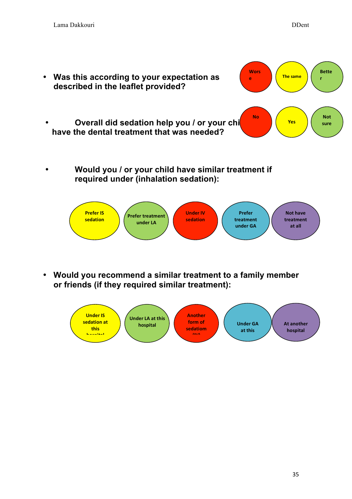



• **Would you recommend a similar treatment to a family member or friends (if they required similar treatment):**

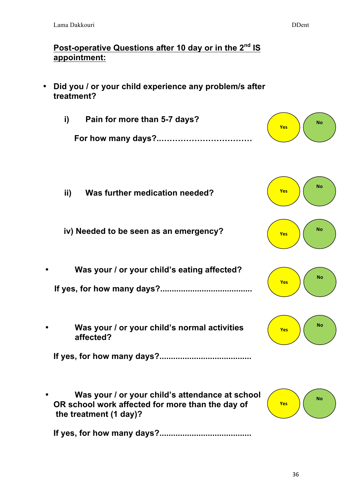### **Post-operative Questions after 10 day or in the 2nd IS appointment:**

• **Did you / or your child experience any problem/s after treatment?**

| Pain for more than 5-7 days? | <b>No</b><br><b>Yes</b> |  |
|------------------------------|-------------------------|--|
|                              |                         |  |